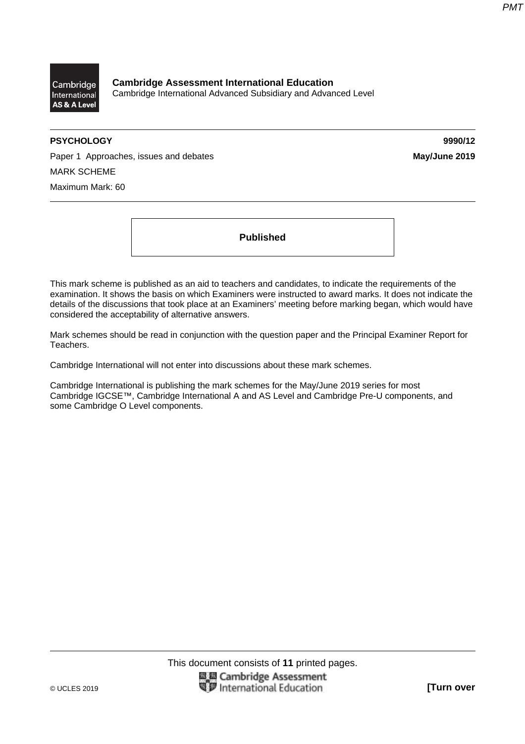

**Cambridge Assessment International Education**  Cambridge International Advanced Subsidiary and Advanced Level

# **PSYCHOLOGY 9990/12**

Paper 1 Approaches, issues and debates **May/June 2019** MARK SCHEME Maximum Mark: 60

**Published** 

This mark scheme is published as an aid to teachers and candidates, to indicate the requirements of the examination. It shows the basis on which Examiners were instructed to award marks. It does not indicate the details of the discussions that took place at an Examiners' meeting before marking began, which would have considered the acceptability of alternative answers.

Mark schemes should be read in conjunction with the question paper and the Principal Examiner Report for Teachers.

Cambridge International will not enter into discussions about these mark schemes.

Cambridge International is publishing the mark schemes for the May/June 2019 series for most Cambridge IGCSE™, Cambridge International A and AS Level and Cambridge Pre-U components, and some Cambridge O Level components.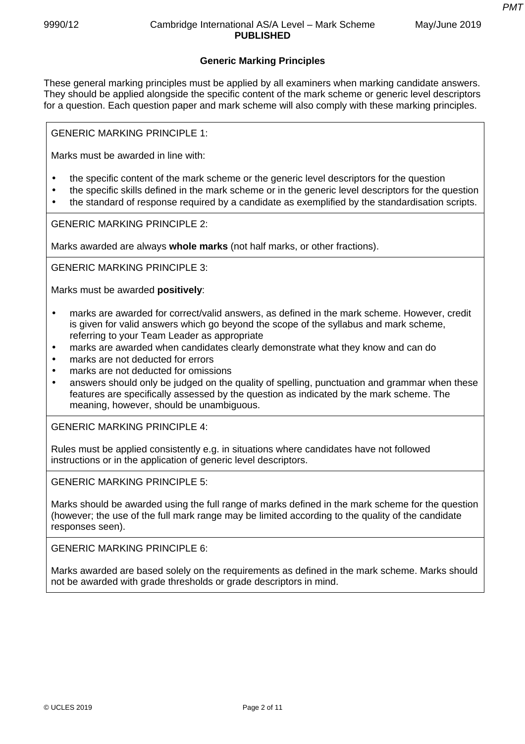# **Generic Marking Principles**

These general marking principles must be applied by all examiners when marking candidate answers. They should be applied alongside the specific content of the mark scheme or generic level descriptors for a question. Each question paper and mark scheme will also comply with these marking principles.

GENERIC MARKING PRINCIPLE 1:

Marks must be awarded in line with:

- the specific content of the mark scheme or the generic level descriptors for the question
- the specific skills defined in the mark scheme or in the generic level descriptors for the question
- the standard of response required by a candidate as exemplified by the standardisation scripts.

GENERIC MARKING PRINCIPLE 2:

Marks awarded are always **whole marks** (not half marks, or other fractions).

GENERIC MARKING PRINCIPLE 3:

Marks must be awarded **positively**:

- marks are awarded for correct/valid answers, as defined in the mark scheme. However, credit is given for valid answers which go beyond the scope of the syllabus and mark scheme, referring to your Team Leader as appropriate
- marks are awarded when candidates clearly demonstrate what they know and can do
- marks are not deducted for errors
- marks are not deducted for omissions
- answers should only be judged on the quality of spelling, punctuation and grammar when these features are specifically assessed by the question as indicated by the mark scheme. The meaning, however, should be unambiguous.

GENERIC MARKING PRINCIPLE 4:

Rules must be applied consistently e.g. in situations where candidates have not followed instructions or in the application of generic level descriptors.

GENERIC MARKING PRINCIPLE 5:

Marks should be awarded using the full range of marks defined in the mark scheme for the question (however; the use of the full mark range may be limited according to the quality of the candidate responses seen).

GENERIC MARKING PRINCIPLE 6:

Marks awarded are based solely on the requirements as defined in the mark scheme. Marks should not be awarded with grade thresholds or grade descriptors in mind.

*PMT*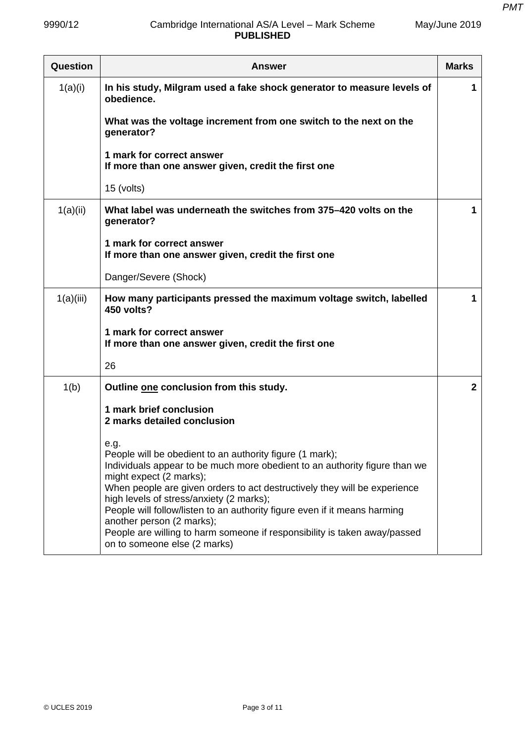May/June 2019

# 9990/12 Cambridge International AS/A Level – Mark Scheme **PUBLISHED**

| Question  | <b>Answer</b>                                                                                                                                                                                                                                                                                                                                                                                                                                                                                                             |                |  |  |  |  |
|-----------|---------------------------------------------------------------------------------------------------------------------------------------------------------------------------------------------------------------------------------------------------------------------------------------------------------------------------------------------------------------------------------------------------------------------------------------------------------------------------------------------------------------------------|----------------|--|--|--|--|
| 1(a)(i)   | In his study, Milgram used a fake shock generator to measure levels of<br>obedience.                                                                                                                                                                                                                                                                                                                                                                                                                                      | 1              |  |  |  |  |
|           | What was the voltage increment from one switch to the next on the<br>generator?                                                                                                                                                                                                                                                                                                                                                                                                                                           |                |  |  |  |  |
|           | 1 mark for correct answer<br>If more than one answer given, credit the first one                                                                                                                                                                                                                                                                                                                                                                                                                                          |                |  |  |  |  |
|           | 15 (volts)                                                                                                                                                                                                                                                                                                                                                                                                                                                                                                                |                |  |  |  |  |
| 1(a)(ii)  | What label was underneath the switches from 375–420 volts on the<br>generator?                                                                                                                                                                                                                                                                                                                                                                                                                                            | 1              |  |  |  |  |
|           | 1 mark for correct answer<br>If more than one answer given, credit the first one                                                                                                                                                                                                                                                                                                                                                                                                                                          |                |  |  |  |  |
|           | Danger/Severe (Shock)                                                                                                                                                                                                                                                                                                                                                                                                                                                                                                     |                |  |  |  |  |
| 1(a)(iii) | How many participants pressed the maximum voltage switch, labelled<br>450 volts?                                                                                                                                                                                                                                                                                                                                                                                                                                          | 1              |  |  |  |  |
|           | 1 mark for correct answer<br>If more than one answer given, credit the first one                                                                                                                                                                                                                                                                                                                                                                                                                                          |                |  |  |  |  |
|           | 26                                                                                                                                                                                                                                                                                                                                                                                                                                                                                                                        |                |  |  |  |  |
| 1(b)      | Outline one conclusion from this study.                                                                                                                                                                                                                                                                                                                                                                                                                                                                                   | $\overline{2}$ |  |  |  |  |
|           | 1 mark brief conclusion<br>2 marks detailed conclusion                                                                                                                                                                                                                                                                                                                                                                                                                                                                    |                |  |  |  |  |
|           | e.g.<br>People will be obedient to an authority figure (1 mark);<br>Individuals appear to be much more obedient to an authority figure than we<br>might expect (2 marks);<br>When people are given orders to act destructively they will be experience<br>high levels of stress/anxiety (2 marks);<br>People will follow/listen to an authority figure even if it means harming<br>another person (2 marks);<br>People are willing to harm someone if responsibility is taken away/passed<br>on to someone else (2 marks) |                |  |  |  |  |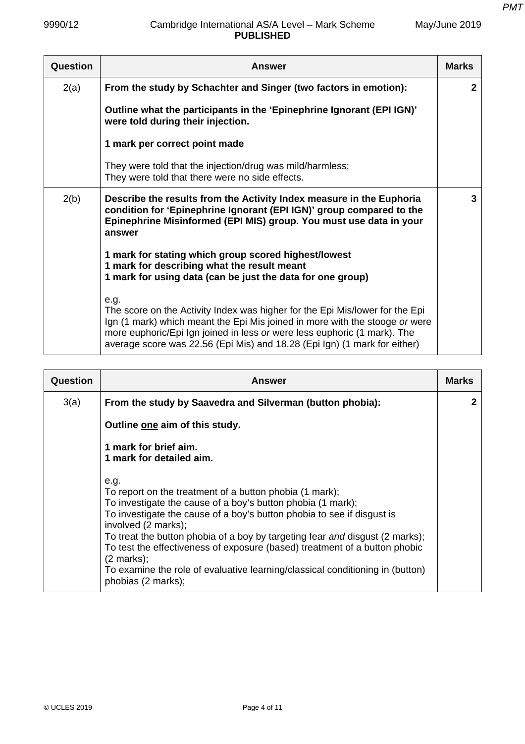May/June 2019

## 9990/12 Cambridge International AS/A Level – Mark Scheme **PUBLISHED**

| Question | <b>Answer</b>                                                                                                                                                                                                                                                                                                                | <b>Marks</b> |
|----------|------------------------------------------------------------------------------------------------------------------------------------------------------------------------------------------------------------------------------------------------------------------------------------------------------------------------------|--------------|
| 2(a)     | From the study by Schachter and Singer (two factors in emotion):                                                                                                                                                                                                                                                             | $\mathbf{2}$ |
|          | Outline what the participants in the 'Epinephrine Ignorant (EPI IGN)'<br>were told during their injection.                                                                                                                                                                                                                   |              |
|          | 1 mark per correct point made                                                                                                                                                                                                                                                                                                |              |
|          | They were told that the injection/drug was mild/harmless;<br>They were told that there were no side effects.                                                                                                                                                                                                                 |              |
| 2(b)     | Describe the results from the Activity Index measure in the Euphoria<br>condition for 'Epinephrine Ignorant (EPI IGN)' group compared to the<br>Epinephrine Misinformed (EPI MIS) group. You must use data in your<br>answer                                                                                                 | 3            |
|          | 1 mark for stating which group scored highest/lowest<br>1 mark for describing what the result meant<br>1 mark for using data (can be just the data for one group)                                                                                                                                                            |              |
|          | e.g.<br>The score on the Activity Index was higher for the Epi Mis/lower for the Epi<br>Ign (1 mark) which meant the Epi Mis joined in more with the stooge or were<br>more euphoric/Epi Ign joined in less or were less euphoric (1 mark). The<br>average score was 22.56 (Epi Mis) and 18.28 (Epi Ign) (1 mark for either) |              |

| Question | <b>Answer</b>                                                                                                                                                                                                                                                                                                                                                                                                                                                                                                                 | Marks |
|----------|-------------------------------------------------------------------------------------------------------------------------------------------------------------------------------------------------------------------------------------------------------------------------------------------------------------------------------------------------------------------------------------------------------------------------------------------------------------------------------------------------------------------------------|-------|
| 3(a)     | From the study by Saavedra and Silverman (button phobia):                                                                                                                                                                                                                                                                                                                                                                                                                                                                     | 2     |
|          | Outline one aim of this study.                                                                                                                                                                                                                                                                                                                                                                                                                                                                                                |       |
|          | 1 mark for brief aim.<br>1 mark for detailed aim.                                                                                                                                                                                                                                                                                                                                                                                                                                                                             |       |
|          | e.g.<br>To report on the treatment of a button phobia (1 mark);<br>To investigate the cause of a boy's button phobia (1 mark);<br>To investigate the cause of a boy's button phobia to see if disgust is<br>involved (2 marks);<br>To treat the button phobia of a boy by targeting fear and disgust (2 marks);<br>To test the effectiveness of exposure (based) treatment of a button phobic<br>$(2 \text{ marks})$ ;<br>To examine the role of evaluative learning/classical conditioning in (button)<br>phobias (2 marks); |       |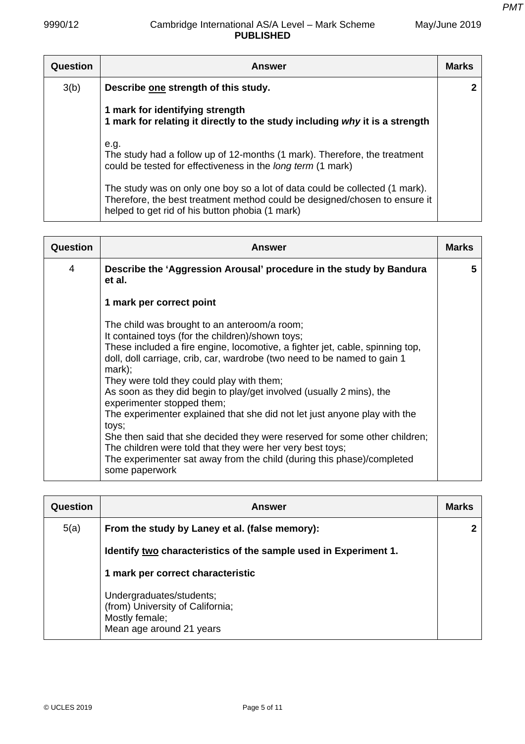*PMT*

| Question | <b>Answer</b>                                                                                                                                                                                                | <b>Marks</b> |
|----------|--------------------------------------------------------------------------------------------------------------------------------------------------------------------------------------------------------------|--------------|
| 3(b)     | Describe one strength of this study.                                                                                                                                                                         |              |
|          | 1 mark for identifying strength<br>1 mark for relating it directly to the study including why it is a strength                                                                                               |              |
|          | e.g.<br>The study had a follow up of 12-months (1 mark). Therefore, the treatment<br>could be tested for effectiveness in the long term (1 mark)                                                             |              |
|          | The study was on only one boy so a lot of data could be collected (1 mark).<br>Therefore, the best treatment method could be designed/chosen to ensure it<br>helped to get rid of his button phobia (1 mark) |              |

| Question | <b>Answer</b>                                                                                                                                                                                                                                                                                                                                                                                                                                                                                                                                                                                                                                                                                                                                              | <b>Marks</b> |
|----------|------------------------------------------------------------------------------------------------------------------------------------------------------------------------------------------------------------------------------------------------------------------------------------------------------------------------------------------------------------------------------------------------------------------------------------------------------------------------------------------------------------------------------------------------------------------------------------------------------------------------------------------------------------------------------------------------------------------------------------------------------------|--------------|
| 4        | Describe the 'Aggression Arousal' procedure in the study by Bandura<br>et al.                                                                                                                                                                                                                                                                                                                                                                                                                                                                                                                                                                                                                                                                              | 5            |
|          | 1 mark per correct point                                                                                                                                                                                                                                                                                                                                                                                                                                                                                                                                                                                                                                                                                                                                   |              |
|          | The child was brought to an anteroom/a room;<br>It contained toys (for the children)/shown toys;<br>These included a fire engine, locomotive, a fighter jet, cable, spinning top,<br>doll, doll carriage, crib, car, wardrobe (two need to be named to gain 1<br>$mark$ );<br>They were told they could play with them;<br>As soon as they did begin to play/get involved (usually 2 mins), the<br>experimenter stopped them;<br>The experimenter explained that she did not let just anyone play with the<br>toys;<br>She then said that she decided they were reserved for some other children;<br>The children were told that they were her very best toys;<br>The experimenter sat away from the child (during this phase)/completed<br>some paperwork |              |

| Question | Answer                                                                                                     | <b>Marks</b> |
|----------|------------------------------------------------------------------------------------------------------------|--------------|
| 5(a)     | From the study by Laney et al. (false memory):                                                             |              |
|          | Identify two characteristics of the sample used in Experiment 1.                                           |              |
|          | 1 mark per correct characteristic                                                                          |              |
|          | Undergraduates/students;<br>(from) University of California;<br>Mostly female;<br>Mean age around 21 years |              |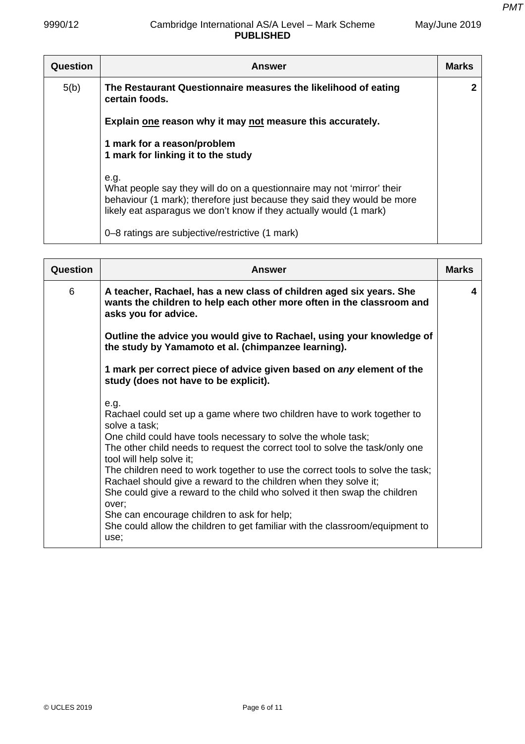| <b>Question</b> | <b>Answer</b>                                                                                                                                                                                                                   | <b>Marks</b> |
|-----------------|---------------------------------------------------------------------------------------------------------------------------------------------------------------------------------------------------------------------------------|--------------|
| 5(b)            | The Restaurant Questionnaire measures the likelihood of eating<br>certain foods.                                                                                                                                                |              |
|                 | Explain one reason why it may not measure this accurately.                                                                                                                                                                      |              |
|                 | 1 mark for a reason/problem<br>1 mark for linking it to the study                                                                                                                                                               |              |
|                 | e.g.<br>What people say they will do on a questionnaire may not 'mirror' their<br>behaviour (1 mark); therefore just because they said they would be more<br>likely eat asparagus we don't know if they actually would (1 mark) |              |
|                 | 0–8 ratings are subjective/restrictive (1 mark)                                                                                                                                                                                 |              |

| Question | <b>Answer</b>                                                                                                                                                                                                                                                                                                                                                                                                                                                                                                                                                                                                                                                    | <b>Marks</b> |
|----------|------------------------------------------------------------------------------------------------------------------------------------------------------------------------------------------------------------------------------------------------------------------------------------------------------------------------------------------------------------------------------------------------------------------------------------------------------------------------------------------------------------------------------------------------------------------------------------------------------------------------------------------------------------------|--------------|
| 6        | A teacher, Rachael, has a new class of children aged six years. She<br>wants the children to help each other more often in the classroom and<br>asks you for advice.                                                                                                                                                                                                                                                                                                                                                                                                                                                                                             | 4            |
|          | Outline the advice you would give to Rachael, using your knowledge of<br>the study by Yamamoto et al. (chimpanzee learning).                                                                                                                                                                                                                                                                                                                                                                                                                                                                                                                                     |              |
|          | 1 mark per correct piece of advice given based on any element of the<br>study (does not have to be explicit).                                                                                                                                                                                                                                                                                                                                                                                                                                                                                                                                                    |              |
|          | e.g.<br>Rachael could set up a game where two children have to work together to<br>solve a task;<br>One child could have tools necessary to solve the whole task;<br>The other child needs to request the correct tool to solve the task/only one<br>tool will help solve it;<br>The children need to work together to use the correct tools to solve the task;<br>Rachael should give a reward to the children when they solve it;<br>She could give a reward to the child who solved it then swap the children<br>over;<br>She can encourage children to ask for help;<br>She could allow the children to get familiar with the classroom/equipment to<br>use; |              |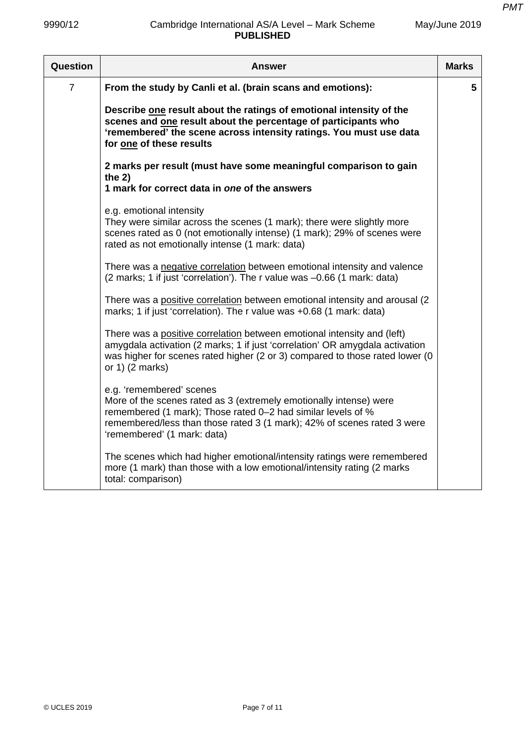| Question       | <b>Answer</b>                                                                                                                                                                                                                                                            |   |  |  |
|----------------|--------------------------------------------------------------------------------------------------------------------------------------------------------------------------------------------------------------------------------------------------------------------------|---|--|--|
| $\overline{7}$ | From the study by Canli et al. (brain scans and emotions):                                                                                                                                                                                                               | 5 |  |  |
|                | Describe one result about the ratings of emotional intensity of the<br>scenes and one result about the percentage of participants who<br>'remembered' the scene across intensity ratings. You must use data<br>for one of these results                                  |   |  |  |
|                | 2 marks per result (must have some meaningful comparison to gain<br>the $2)$<br>1 mark for correct data in one of the answers                                                                                                                                            |   |  |  |
|                | e.g. emotional intensity<br>They were similar across the scenes (1 mark); there were slightly more<br>scenes rated as 0 (not emotionally intense) (1 mark); 29% of scenes were<br>rated as not emotionally intense (1 mark: data)                                        |   |  |  |
|                | There was a negative correlation between emotional intensity and valence<br>(2 marks; 1 if just 'correlation'). The r value was -0.66 (1 mark: data)                                                                                                                     |   |  |  |
|                | There was a positive correlation between emotional intensity and arousal (2)<br>marks; 1 if just 'correlation). The r value was +0.68 (1 mark: data)                                                                                                                     |   |  |  |
|                | There was a positive correlation between emotional intensity and (left)<br>amygdala activation (2 marks; 1 if just 'correlation' OR amygdala activation<br>was higher for scenes rated higher (2 or 3) compared to those rated lower (0<br>or $1)$ (2 marks)             |   |  |  |
|                | e.g. 'remembered' scenes<br>More of the scenes rated as 3 (extremely emotionally intense) were<br>remembered (1 mark); Those rated 0-2 had similar levels of %<br>remembered/less than those rated 3 (1 mark); 42% of scenes rated 3 were<br>'remembered' (1 mark: data) |   |  |  |
|                | The scenes which had higher emotional/intensity ratings were remembered<br>more (1 mark) than those with a low emotional/intensity rating (2 marks<br>total: comparison)                                                                                                 |   |  |  |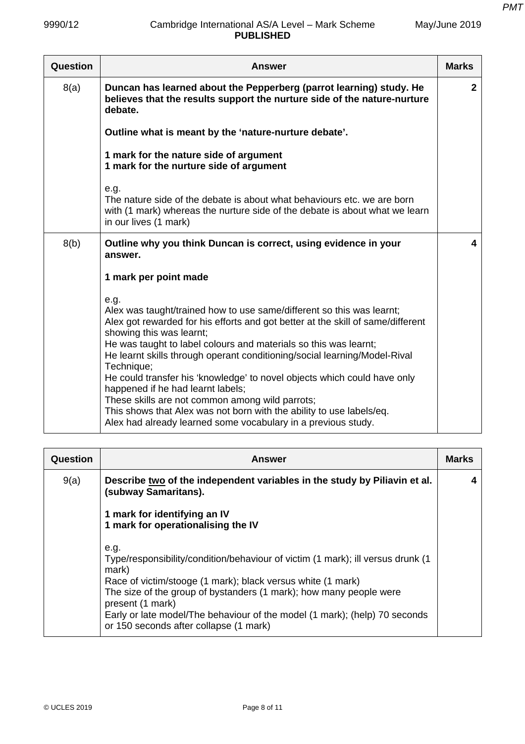| Question | <b>Answer</b>                                                                                                                                                                                                                                                                                                                                                                                                                                                                                                                                                                                                                                                            | <b>Marks</b> |
|----------|--------------------------------------------------------------------------------------------------------------------------------------------------------------------------------------------------------------------------------------------------------------------------------------------------------------------------------------------------------------------------------------------------------------------------------------------------------------------------------------------------------------------------------------------------------------------------------------------------------------------------------------------------------------------------|--------------|
| 8(a)     | Duncan has learned about the Pepperberg (parrot learning) study. He<br>believes that the results support the nurture side of the nature-nurture<br>debate.                                                                                                                                                                                                                                                                                                                                                                                                                                                                                                               | $\mathbf{2}$ |
|          | Outline what is meant by the 'nature-nurture debate'.                                                                                                                                                                                                                                                                                                                                                                                                                                                                                                                                                                                                                    |              |
|          | 1 mark for the nature side of argument<br>1 mark for the nurture side of argument                                                                                                                                                                                                                                                                                                                                                                                                                                                                                                                                                                                        |              |
|          | e.g.<br>The nature side of the debate is about what behaviours etc. we are born<br>with (1 mark) whereas the nurture side of the debate is about what we learn<br>in our lives (1 mark)                                                                                                                                                                                                                                                                                                                                                                                                                                                                                  |              |
| 8(b)     | Outline why you think Duncan is correct, using evidence in your<br>answer.                                                                                                                                                                                                                                                                                                                                                                                                                                                                                                                                                                                               | 4            |
|          | 1 mark per point made                                                                                                                                                                                                                                                                                                                                                                                                                                                                                                                                                                                                                                                    |              |
|          | e.g.<br>Alex was taught/trained how to use same/different so this was learnt;<br>Alex got rewarded for his efforts and got better at the skill of same/different<br>showing this was learnt;<br>He was taught to label colours and materials so this was learnt;<br>He learnt skills through operant conditioning/social learning/Model-Rival<br>Technique;<br>He could transfer his 'knowledge' to novel objects which could have only<br>happened if he had learnt labels;<br>These skills are not common among wild parrots;<br>This shows that Alex was not born with the ability to use labels/eq.<br>Alex had already learned some vocabulary in a previous study. |              |

| Question | <b>Answer</b>                                                                                                                                                                                                                                                                                                                                                                     | <b>Marks</b> |
|----------|-----------------------------------------------------------------------------------------------------------------------------------------------------------------------------------------------------------------------------------------------------------------------------------------------------------------------------------------------------------------------------------|--------------|
| 9(a)     | Describe two of the independent variables in the study by Piliavin et al.<br>(subway Samaritans).<br>1 mark for identifying an IV<br>1 mark for operationalising the IV                                                                                                                                                                                                           | 4            |
|          | e.g.<br>Type/responsibility/condition/behaviour of victim (1 mark); ill versus drunk (1<br>mark)<br>Race of victim/stooge (1 mark); black versus white (1 mark)<br>The size of the group of bystanders (1 mark); how many people were<br>present (1 mark)<br>Early or late model/The behaviour of the model (1 mark); (help) 70 seconds<br>or 150 seconds after collapse (1 mark) |              |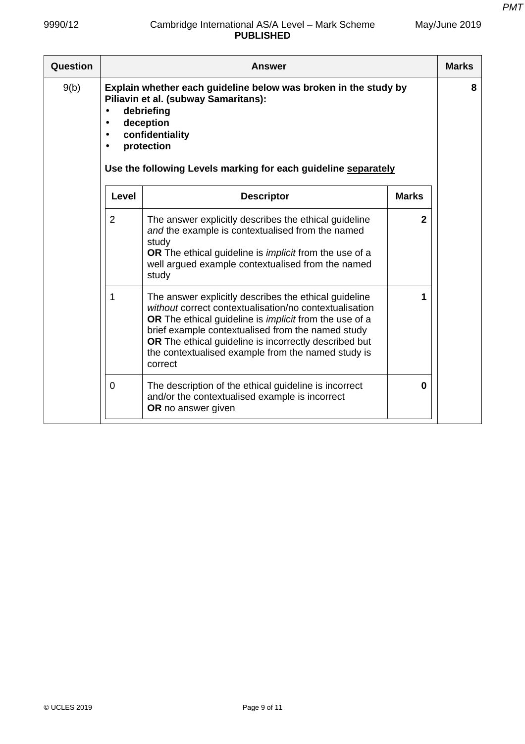| <b>Question</b> |                | Answer                                                                                                                                                                                                                                                                                                                                                          |              | <b>Marks</b> |
|-----------------|----------------|-----------------------------------------------------------------------------------------------------------------------------------------------------------------------------------------------------------------------------------------------------------------------------------------------------------------------------------------------------------------|--------------|--------------|
| 9(b)            | $\bullet$      | Explain whether each guideline below was broken in the study by<br>Piliavin et al. (subway Samaritans):<br>debriefing<br>deception<br>confidentiality<br>protection<br>Use the following Levels marking for each guideline separately                                                                                                                           |              | 8            |
|                 | <b>Level</b>   | <b>Descriptor</b>                                                                                                                                                                                                                                                                                                                                               | <b>Marks</b> |              |
|                 | $\overline{2}$ | The answer explicitly describes the ethical guideline<br>and the example is contextualised from the named<br>study<br><b>OR</b> The ethical guideline is <i>implicit</i> from the use of a<br>well argued example contextualised from the named<br>study                                                                                                        | $\mathbf{2}$ |              |
|                 | 1              | The answer explicitly describes the ethical guideline<br>without correct contextualisation/no contextualisation<br>OR The ethical guideline is <i>implicit</i> from the use of a<br>brief example contextualised from the named study<br>OR The ethical guideline is incorrectly described but<br>the contextualised example from the named study is<br>correct |              |              |
|                 | $\Omega$       | The description of the ethical guideline is incorrect<br>and/or the contextualised example is incorrect<br>OR no answer given                                                                                                                                                                                                                                   | 0            |              |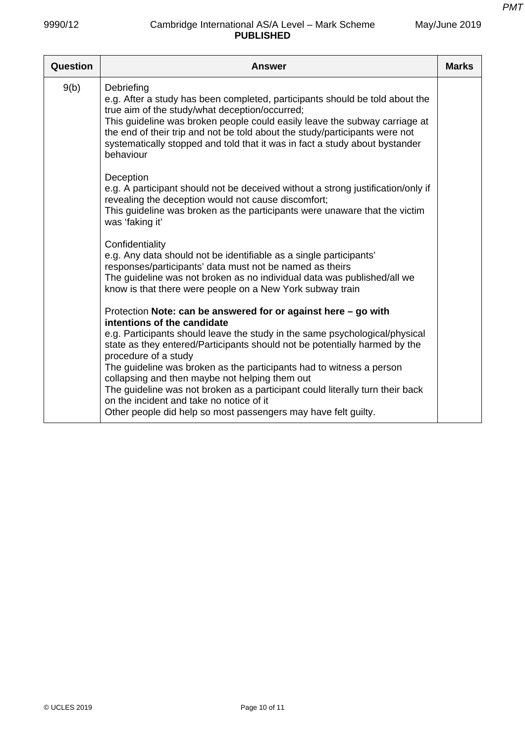| May/June 2019 |  |
|---------------|--|
|---------------|--|

| Question | <b>Answer</b>                                                                                                                                                                                                                                                                                                                                                                                         | <b>Marks</b> |
|----------|-------------------------------------------------------------------------------------------------------------------------------------------------------------------------------------------------------------------------------------------------------------------------------------------------------------------------------------------------------------------------------------------------------|--------------|
| 9(b)     | Debriefing<br>e.g. After a study has been completed, participants should be told about the<br>true aim of the study/what deception/occurred;<br>This guideline was broken people could easily leave the subway carriage at<br>the end of their trip and not be told about the study/participants were not<br>systematically stopped and told that it was in fact a study about bystander<br>behaviour |              |
|          | Deception<br>e.g. A participant should not be deceived without a strong justification/only if<br>revealing the deception would not cause discomfort;<br>This guideline was broken as the participants were unaware that the victim<br>was 'faking it'                                                                                                                                                 |              |
|          | Confidentiality<br>e.g. Any data should not be identifiable as a single participants'<br>responses/participants' data must not be named as theirs<br>The guideline was not broken as no individual data was published/all we<br>know is that there were people on a New York subway train                                                                                                             |              |
|          | Protection Note: can be answered for or against here - go with<br>intentions of the candidate<br>e.g. Participants should leave the study in the same psychological/physical<br>state as they entered/Participants should not be potentially harmed by the<br>procedure of a study                                                                                                                    |              |
|          | The guideline was broken as the participants had to witness a person<br>collapsing and then maybe not helping them out<br>The guideline was not broken as a participant could literally turn their back<br>on the incident and take no notice of it<br>Other people did help so most passengers may have felt guilty.                                                                                 |              |